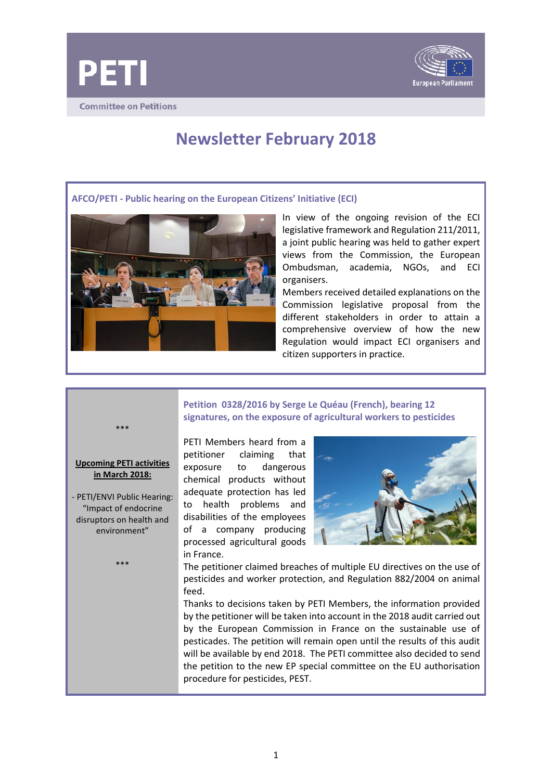



# **Newsletter February 2018**

**AFCO/PETI - Public hearing on the European Citizens' Initiative (ECI)**



In view of the ongoing revision of the ECI legislative framework and Regulation 211/2011, a joint public hearing was held to gather expert views from the Commission, the European Ombudsman, academia, NGOs, and ECI organisers.

Members received detailed explanations on the Commission legislative proposal from the different stakeholders in order to attain a comprehensive overview of how the new Regulation would impact ECI organisers and citizen supporters in practice.

# **Petition 0328/2016 by Serge Le Quéau (French), bearing 12 signatures, on the exposure of agricultural workers to pesticides**

\*\*\*

## **Upcoming PETI activities in March 2018:**

- PETI/ENVI Public Hearing: "Impact of endocrine disruptors on health and environment"

\*\*\*

PETI Members heard from a petitioner claiming that exposure to dangerous chemical products without adequate protection has led to health problems and disabilities of the employees of a company producing processed agricultural goods in France.



The petitioner claimed breaches of multiple EU directives on the use of pesticides and worker protection, and Regulation 882/2004 on animal feed.

Thanks to decisions taken by PETI Members, the information provided by the petitioner will be taken into account in the 2018 audit carried out by the European Commission in France on the sustainable use of pesticades. The petition will remain open until the results of this audit will be available by end 2018. The PETI committee also decided to send the petition to the new EP special committee on the EU authorisation procedure for pesticides, PEST.